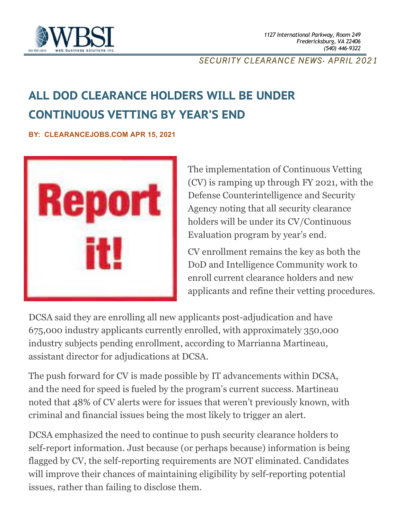

#### *SECURITY CLEARANCE NEWS- APRIL 2021*

# **ALL DOD CLEARANCE HOLDERS WILL BE UNDER CONTINUOUS VETTING BY YEAR'S END**

**BY: CLEARANCEJOBS.COM APR 15, 2021**



The implementation of Continuous Vetting (CV) is ramping up through FY 2021, with the Defense Counterintelligence and Security Agency noting that all security clearance holders will be under its CV/Continuous Evaluation program by year's end.

CV enrollment remains the key as both the DoD and Intelligence Community work to enroll current clearance holders and new applicants and refine their vetting procedures.

DCSA said they are enrolling all new applicants post-adjudication and have 675,000 industry applicants currently enrolled, with approximately 350,000 industry subjects pending enrollment, according to Marrianna Martineau, assistant director for adjudications at DCSA.

The push forward for CV is made possible by IT advancements within DCSA, and the need for speed is fueled by the program's current success. Martineau noted that 48% of CV alerts were for issues that weren't previously known, with criminal and financial issues being the most likely to trigger an alert.

DCSA emphasized the need to continue to push security clearance holders to self-report information. Just because (or perhaps because) information is being flagged by CV, the self-reporting requirements are NOT eliminated. Candidates will improve their chances of maintaining eligibility by self-reporting potential issues, rather than failing to disclose them.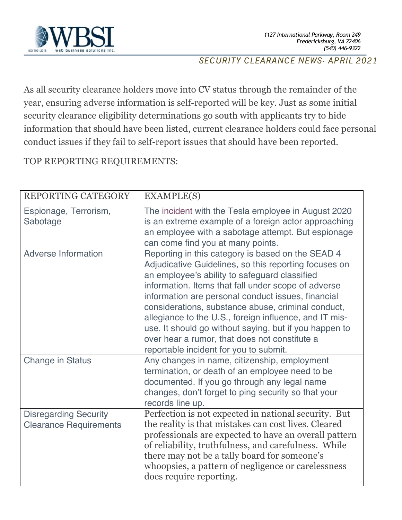

#### *SECURITY CLEARANCE NEWS- APRIL 2021*

As all security clearance holders move into CV status through the remainder of the year, ensuring adverse information is self-reported will be key. Just as some initial security clearance eligibility determinations go south with applicants try to hide information that should have been listed, current clearance holders could face personal conduct issues if they fail to self-report issues that should have been reported.

### TOP REPORTING REQUIREMENTS:

| REPORTING CATEGORY                                            | <b>EXAMPLE(S)</b>                                                                                                                                                                                                                                                                                                                                                                                                                                                                                                                             |
|---------------------------------------------------------------|-----------------------------------------------------------------------------------------------------------------------------------------------------------------------------------------------------------------------------------------------------------------------------------------------------------------------------------------------------------------------------------------------------------------------------------------------------------------------------------------------------------------------------------------------|
| Espionage, Terrorism,<br>Sabotage                             | The incident with the Tesla employee in August 2020<br>is an extreme example of a foreign actor approaching<br>an employee with a sabotage attempt. But espionage<br>can come find you at many points.                                                                                                                                                                                                                                                                                                                                        |
| <b>Adverse Information</b>                                    | Reporting in this category is based on the SEAD 4<br>Adjudicative Guidelines, so this reporting focuses on<br>an employee's ability to safeguard classified<br>information. Items that fall under scope of adverse<br>information are personal conduct issues, financial<br>considerations, substance abuse, criminal conduct,<br>allegiance to the U.S., foreign influence, and IT mis-<br>use. It should go without saying, but if you happen to<br>over hear a rumor, that does not constitute a<br>reportable incident for you to submit. |
| <b>Change in Status</b>                                       | Any changes in name, citizenship, employment<br>termination, or death of an employee need to be<br>documented. If you go through any legal name<br>changes, don't forget to ping security so that your<br>records line up.                                                                                                                                                                                                                                                                                                                    |
| <b>Disregarding Security</b><br><b>Clearance Requirements</b> | Perfection is not expected in national security. But<br>the reality is that mistakes can cost lives. Cleared<br>professionals are expected to have an overall pattern<br>of reliability, truthfulness, and carefulness. While<br>there may not be a tally board for someone's<br>whoopsies, a pattern of negligence or carelessness<br>does require reporting.                                                                                                                                                                                |